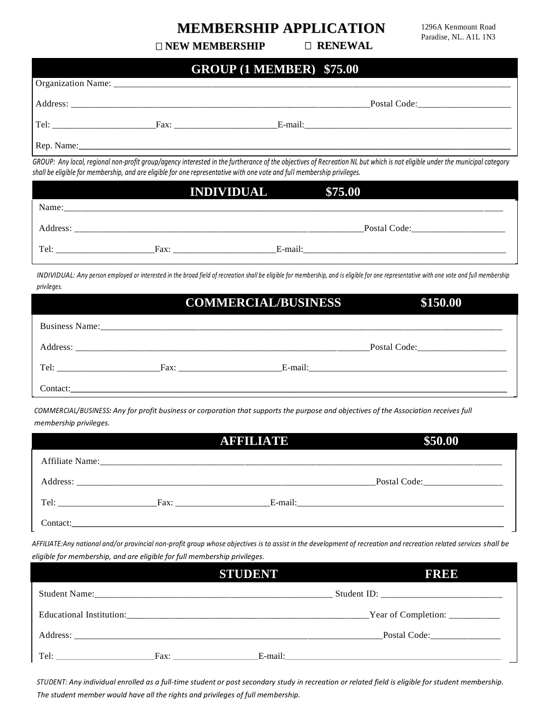## **MEMBERSHIP APPLICATION** 1296A Kenmount Road

Paradise, NL. A1L 1N3

**NEW MEMBERSHIP RENEWAL**

|           | <b>GROUP (1 MEMBER) \$75.00</b> |                                                                                                                                                                            |
|-----------|---------------------------------|----------------------------------------------------------------------------------------------------------------------------------------------------------------------------|
|           |                                 |                                                                                                                                                                            |
|           |                                 |                                                                                                                                                                            |
| Tel: Fax: |                                 |                                                                                                                                                                            |
|           |                                 |                                                                                                                                                                            |
|           |                                 | GROUP: Any local, regional non-profit group/agency interested in the furtherance of the objectives of Recreation NL but which is not eligible under the municipal category |

| shall be eligible for membership, and are eligible for one representative with one vote and full membership privileges. |      |                    |              |  |
|-------------------------------------------------------------------------------------------------------------------------|------|--------------------|--------------|--|
|                                                                                                                         |      | INDIVIDUAL \$75.00 |              |  |
| Name:                                                                                                                   |      |                    |              |  |
| Address:                                                                                                                |      |                    | Postal Code: |  |
| Tel:                                                                                                                    | Fax: | E-mail:            |              |  |

*INDIVIDUAL: Any person employed or interested in the broad field of recreation shall be eligible for membership, and is eligible for one representative with one vote and full membership*  Rep. *privileges.*  were one, any person employed or interested in the broad pela by relevation sharibe engine for membership, and is engine for one representative introductional force and farmer<br>Williams

|            | <b>COMMERCIAL/BUSINESS</b> | \$150.00 |
|------------|----------------------------|----------|
|            |                            |          |
|            |                            |          |
| Tel: Fax:  |                            |          |
| Contact: I |                            |          |

*COMMERCIAL/BUSINESS: Any for profit business or corporation that supports the purpose and objectives of the Association receives full membership privileges.* 

|                                                                                                                                                                                                                                | <b>AFFILIATE</b>                                                                                                                                                                                                               | \$50.00                            |
|--------------------------------------------------------------------------------------------------------------------------------------------------------------------------------------------------------------------------------|--------------------------------------------------------------------------------------------------------------------------------------------------------------------------------------------------------------------------------|------------------------------------|
|                                                                                                                                                                                                                                |                                                                                                                                                                                                                                |                                    |
|                                                                                                                                                                                                                                |                                                                                                                                                                                                                                | Postal Code: _____________________ |
| Tel: The contract of the contract of the contract of the contract of the contract of the contract of the contract of the contract of the contract of the contract of the contract of the contract of the contract of the contr | Fax: The contract of the contract of the contract of the contract of the contract of the contract of the contract of the contract of the contract of the contract of the contract of the contract of the contract of the contr |                                    |
| Contact:                                                                                                                                                                                                                       |                                                                                                                                                                                                                                |                                    |

*AFFILIATE:Any national and/or provincial non-profit group whose objectives is to assist in the development of recreation and recreation related services shall be eligible for membership, and are eligible for full membership privileges.* 

|          |      | <b>STUDENT</b> | FREE                           |
|----------|------|----------------|--------------------------------|
|          |      |                |                                |
|          |      |                | Year of Completion: __________ |
| Address: |      |                | Postal Code:                   |
| Tel:     | Fax: | E-mail:        |                                |

*STUDENT: Any individual enrolled as a full-time student or post secondary study in recreation or related field is eligible for student membership. The student member would have all the rights and privileges of full membership.*